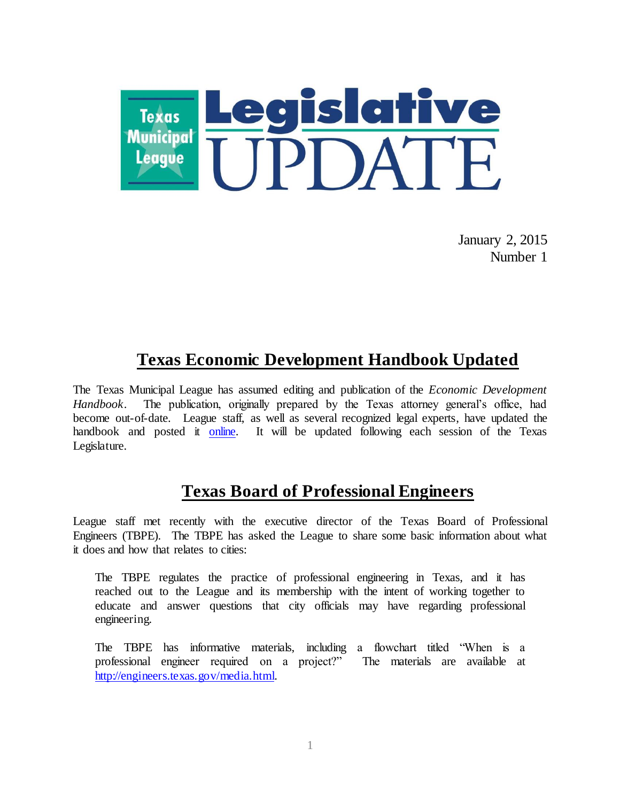

January 2, 2015 Number 1

# **Texas Economic Development Handbook Updated**

The Texas Municipal League has assumed editing and publication of the *Economic Development Handbook*. The publication, originally prepared by the Texas attorney general's office, had become out-of-date. League staff, as well as several recognized legal experts, have updated the handbook and posted it [online.](http://www.tml.org/p/EconomicDevelopmentHandbook2015_TML.pdf) It will be updated following each session of the Texas Legislature.

## **Texas Board of Professional Engineers**

League staff met recently with the executive director of the Texas Board of Professional Engineers (TBPE). The TBPE has asked the League to share some basic information about what it does and how that relates to cities:

The TBPE regulates the practice of professional engineering in Texas, and it has reached out to the League and its membership with the intent of working together to educate and answer questions that city officials may have regarding professional engineering.

The TBPE has informative materials, including a flowchart titled "When is a professional engineer required on a project?" The materials are available at [http://engineers.texas.gov/media.html.](http://engineers.texas.gov/media.html)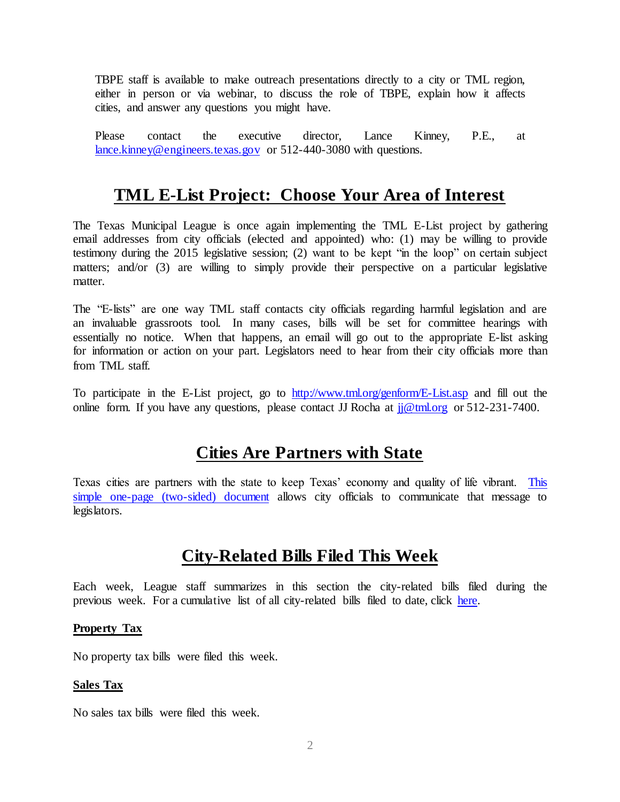TBPE staff is available to make outreach presentations directly to a city or TML region, either in person or via webinar, to discuss the role of TBPE, explain how it affects cities, and answer any questions you might have.

Please contact the executive director, Lance Kinney, P.E., at [lance.kinney@engineers.texas.gov](mailto:lance.kinney@engineers.texas.gov) or 512-440-3080 with questions.

## **TML E-List Project: Choose Your Area of Interest**

The Texas Municipal League is once again implementing the TML E-List project by gathering email addresses from city officials (elected and appointed) who: (1) may be willing to provide testimony during the 2015 legislative session; (2) want to be kept "in the loop" on certain subject matters; and/or (3) are willing to simply provide their perspective on a particular legislative matter.

The "E-lists" are one way TML staff contacts city officials regarding harmful legislation and are an invaluable grassroots tool. In many cases, bills will be set for committee hearings with essentially no notice. When that happens, an email will go out to the appropriate E-list asking for information or action on your part. Legislators need to hear from their city officials more than from TML staff.

To participate in the E-List project, go [to http://www.tml.org/genform/E-List.asp](http://www.tml.org/genform/E-List.asp) and fill out the online form. If you have any questions, please contact JJ Rocha at  $ji@tml.org$  or 512-231-7400.

## **Cities Are Partners with State**

Texas cities are partners with the state to keep Texas' economy and quality of life vibrant. [This](http://www.tml.org/p/TXCitiesWorkOnePager.pdf)  [simple one-page \(two-sided\) document](http://www.tml.org/p/TXCitiesWorkOnePager.pdf) allows city officials to communicate that message to legislators.

## **City-Related Bills Filed This Week**

Each week, League staff summarizes in this section the city-related bills filed during the previous week. For a cumulative list of all city-related bills filed to date, click [here.](http://www.tml.org/p/CityRelatedBills1_2_2015.pdf)

### **Property Tax**

No property tax bills were filed this week.

### **Sales Tax**

No sales tax bills were filed this week.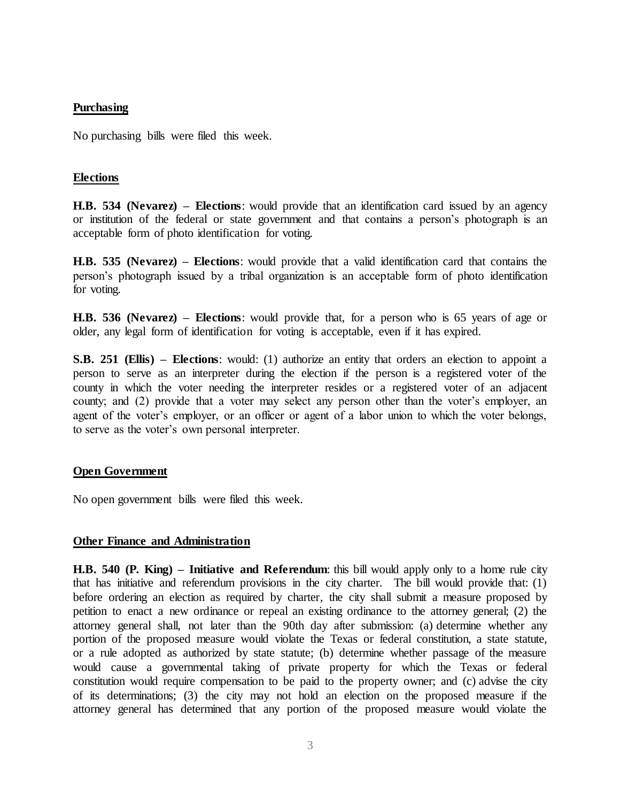#### **Purchasing**

No purchasing bills were filed this week.

#### **Elections**

**H.B. 534 (Nevarez) – Elections**: would provide that an identification card issued by an agency or institution of the federal or state government and that contains a person's photograph is an acceptable form of photo identification for voting.

**H.B. 535 (Nevarez) – Elections**: would provide that a valid identification card that contains the person's photograph issued by a tribal organization is an acceptable form of photo identification for voting.

**H.B. 536 (Nevarez) – Elections**: would provide that, for a person who is 65 years of age or older, any legal form of identification for voting is acceptable, even if it has expired.

**S.B. 251 (Ellis) – Elections**: would: (1) authorize an entity that orders an election to appoint a person to serve as an interpreter during the election if the person is a registered voter of the county in which the voter needing the interpreter resides or a registered voter of an adjacent county; and (2) provide that a voter may select any person other than the voter's employer, an agent of the voter's employer, or an officer or agent of a labor union to which the voter belongs, to serve as the voter's own personal interpreter.

### **Open Government**

No open government bills were filed this week.

### **Other Finance and Administration**

**H.B. 540 (P. King) – Initiative and Referendum**: this bill would apply only to a home rule city that has initiative and referendum provisions in the city charter. The bill would provide that: (1) before ordering an election as required by charter, the city shall submit a measure proposed by petition to enact a new ordinance or repeal an existing ordinance to the attorney general; (2) the attorney general shall, not later than the 90th day after submission: (a) determine whether any portion of the proposed measure would violate the Texas or federal constitution, a state statute, or a rule adopted as authorized by state statute; (b) determine whether passage of the measure would cause a governmental taking of private property for which the Texas or federal constitution would require compensation to be paid to the property owner; and (c) advise the city of its determinations; (3) the city may not hold an election on the proposed measure if the attorney general has determined that any portion of the proposed measure would violate the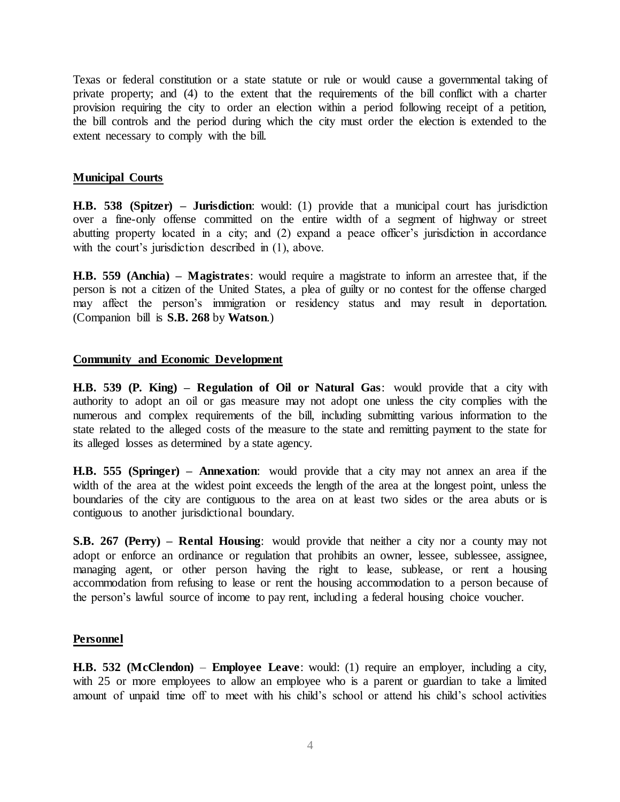Texas or federal constitution or a state statute or rule or would cause a governmental taking of private property; and (4) to the extent that the requirements of the bill conflict with a charter provision requiring the city to order an election within a period following receipt of a petition, the bill controls and the period during which the city must order the election is extended to the extent necessary to comply with the bill.

### **Municipal Courts**

**H.B. 538 (Spitzer) – Jurisdiction**: would: (1) provide that a municipal court has jurisdiction over a fine-only offense committed on the entire width of a segment of highway or street abutting property located in a city; and (2) expand a peace officer's jurisdiction in accordance with the court's jurisdiction described in  $(1)$ , above.

**H.B. 559 (Anchia) – Magistrates**: would require a magistrate to inform an arrestee that, if the person is not a citizen of the United States, a plea of guilty or no contest for the offense charged may affect the person's immigration or residency status and may result in deportation. (Companion bill is **S.B. 268** by **Watson**.)

#### **Community and Economic Development**

**H.B. 539 (P. King) – Regulation of Oil or Natural Gas**: would provide that a city with authority to adopt an oil or gas measure may not adopt one unless the city complies with the numerous and complex requirements of the bill, including submitting various information to the state related to the alleged costs of the measure to the state and remitting payment to the state for its alleged losses as determined by a state agency.

**H.B. 555 (Springer) – Annexation**: would provide that a city may not annex an area if the width of the area at the widest point exceeds the length of the area at the longest point, unless the boundaries of the city are contiguous to the area on at least two sides or the area abuts or is contiguous to another jurisdictional boundary.

**S.B. 267 (Perry) – Rental Housing**: would provide that neither a city nor a county may not adopt or enforce an ordinance or regulation that prohibits an owner, lessee, sublessee, assignee, managing agent, or other person having the right to lease, sublease, or rent a housing accommodation from refusing to lease or rent the housing accommodation to a person because of the person's lawful source of income to pay rent, including a federal housing choice voucher.

#### **Personnel**

**H.B. 532 (McClendon)** – **Employee Leave**: would: (1) require an employer, including a city, with 25 or more employees to allow an employee who is a parent or guardian to take a limited amount of unpaid time off to meet with his child's school or attend his child's school activities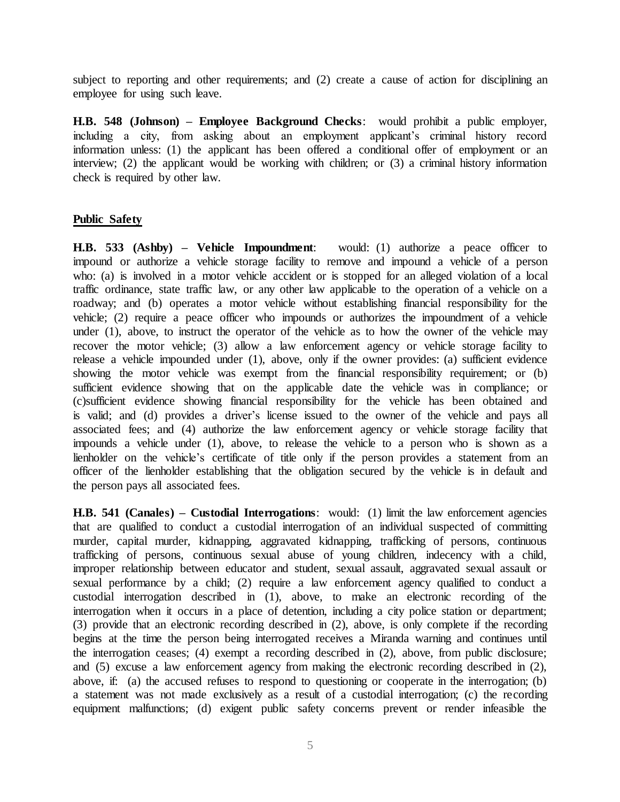subject to reporting and other requirements; and (2) create a cause of action for disciplining an employee for using such leave.

**H.B. 548 (Johnson) – Employee Background Checks**: would prohibit a public employer, including a city, from asking about an employment applicant's criminal history record information unless: (1) the applicant has been offered a conditional offer of employment or an interview; (2) the applicant would be working with children; or (3) a criminal history information check is required by other law.

### **Public Safety**

**H.B. 533 (Ashby) – Vehicle Impoundment**: would: (1) authorize a peace officer to impound or authorize a vehicle storage facility to remove and impound a vehicle of a person who: (a) is involved in a motor vehicle accident or is stopped for an alleged violation of a local traffic ordinance, state traffic law, or any other law applicable to the operation of a vehicle on a roadway; and (b) operates a motor vehicle without establishing financial responsibility for the vehicle; (2) require a peace officer who impounds or authorizes the impoundment of a vehicle under  $(1)$ , above, to instruct the operator of the vehicle as to how the owner of the vehicle may recover the motor vehicle; (3) allow a law enforcement agency or vehicle storage facility to release a vehicle impounded under (1), above, only if the owner provides: (a) sufficient evidence showing the motor vehicle was exempt from the financial responsibility requirement; or (b) sufficient evidence showing that on the applicable date the vehicle was in compliance; or (c)sufficient evidence showing financial responsibility for the vehicle has been obtained and is valid; and (d) provides a driver's license issued to the owner of the vehicle and pays all associated fees; and (4) authorize the law enforcement agency or vehicle storage facility that impounds a vehicle under (1), above, to release the vehicle to a person who is shown as a lienholder on the vehicle's certificate of title only if the person provides a statement from an officer of the lienholder establishing that the obligation secured by the vehicle is in default and the person pays all associated fees.

**H.B. 541 (Canales) – Custodial Interrogations**: would: (1) limit the law enforcement agencies that are qualified to conduct a custodial interrogation of an individual suspected of committing murder, capital murder, kidnapping, aggravated kidnapping, trafficking of persons, continuous trafficking of persons, continuous sexual abuse of young children, indecency with a child, improper relationship between educator and student, sexual assault, aggravated sexual assault or sexual performance by a child; (2) require a law enforcement agency qualified to conduct a custodial interrogation described in (1), above, to make an electronic recording of the interrogation when it occurs in a place of detention, including a city police station or department; (3) provide that an electronic recording described in (2), above, is only complete if the recording begins at the time the person being interrogated receives a Miranda warning and continues until the interrogation ceases; (4) exempt a recording described in (2), above, from public disclosure; and (5) excuse a law enforcement agency from making the electronic recording described in (2), above, if: (a) the accused refuses to respond to questioning or cooperate in the interrogation; (b) a statement was not made exclusively as a result of a custodial interrogation; (c) the recording equipment malfunctions; (d) exigent public safety concerns prevent or render infeasible the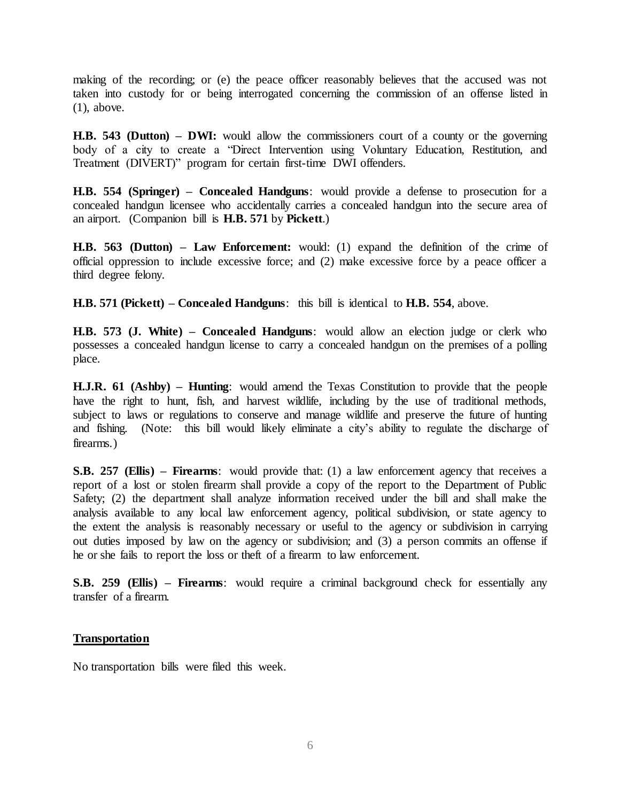making of the recording; or (e) the peace officer reasonably believes that the accused was not taken into custody for or being interrogated concerning the commission of an offense listed in (1), above.

**H.B. 543 (Dutton) – DWI:** would allow the commissioners court of a county or the governing body of a city to create a "Direct Intervention using Voluntary Education, Restitution, and Treatment (DIVERT)" program for certain first-time DWI offenders.

**H.B. 554 (Springer) – Concealed Handguns**: would provide a defense to prosecution for a concealed handgun licensee who accidentally carries a concealed handgun into the secure area of an airport. (Companion bill is **H.B. 571** by **Pickett**.)

**H.B. 563 (Dutton) – Law Enforcement:** would: (1) expand the definition of the crime of official oppression to include excessive force; and (2) make excessive force by a peace officer a third degree felony.

**H.B. 571 (Pickett) – Concealed Handguns**: this bill is identical to **H.B. 554**, above.

**H.B. 573 (J. White) – Concealed Handguns**: would allow an election judge or clerk who possesses a concealed handgun license to carry a concealed handgun on the premises of a polling place.

**H.J.R. 61 (Ashby) – Hunting**: would amend the Texas Constitution to provide that the people have the right to hunt, fish, and harvest wildlife, including by the use of traditional methods, subject to laws or regulations to conserve and manage wildlife and preserve the future of hunting and fishing. (Note: this bill would likely eliminate a city's ability to regulate the discharge of firearms.)

**S.B. 257 (Ellis) – Firearms**: would provide that: (1) a law enforcement agency that receives a report of a lost or stolen firearm shall provide a copy of the report to the Department of Public Safety; (2) the department shall analyze information received under the bill and shall make the analysis available to any local law enforcement agency, political subdivision, or state agency to the extent the analysis is reasonably necessary or useful to the agency or subdivision in carrying out duties imposed by law on the agency or subdivision; and (3) a person commits an offense if he or she fails to report the loss or theft of a firearm to law enforcement.

**S.B. 259 (Ellis) – Firearms**: would require a criminal background check for essentially any transfer of a firearm.

### **Transportation**

No transportation bills were filed this week.